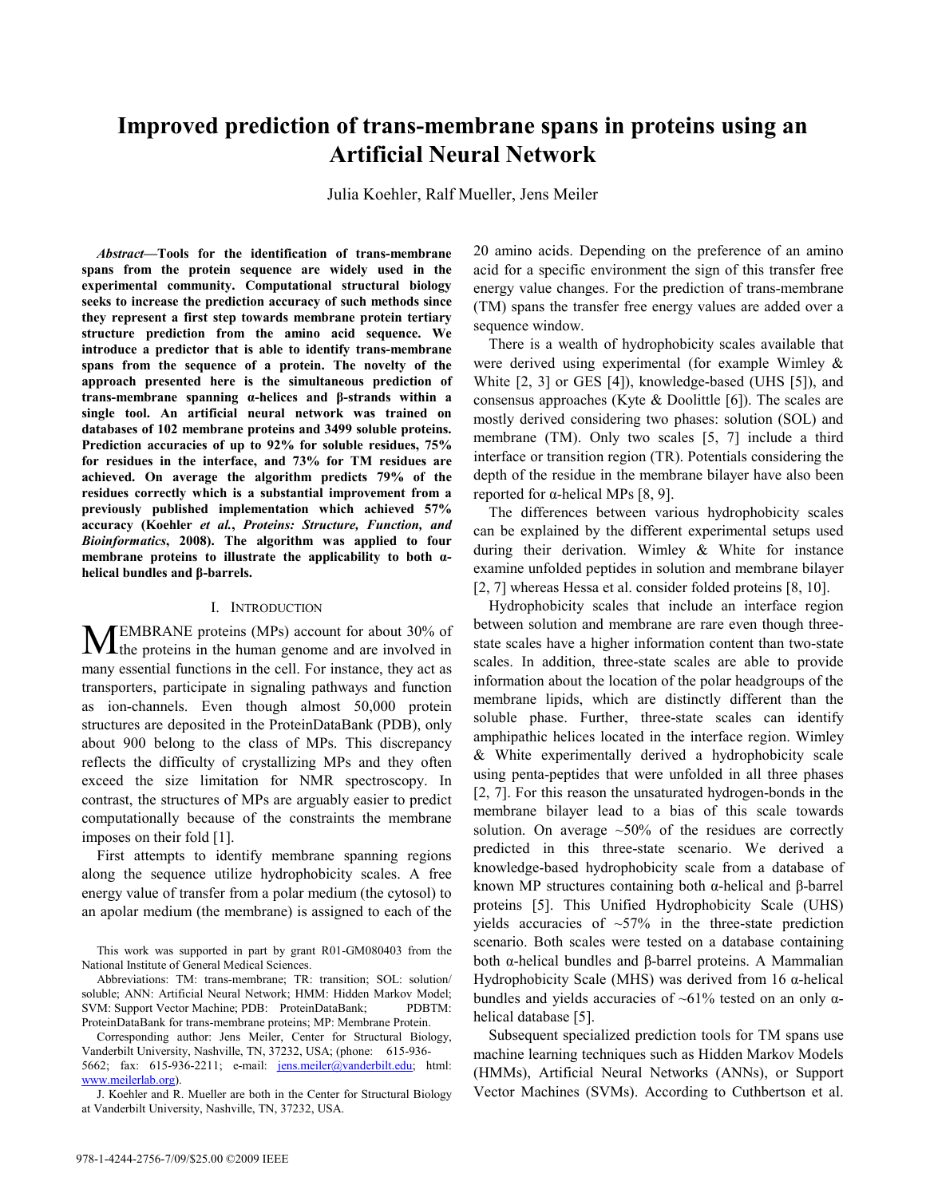# **Improved prediction of trans-membrane spans in proteins using an Artificial Neural Network**

Julia Koehler, Ralf Mueller, Jens Meiler

*Abstract***—Tools for the identification of trans-membrane spans from the protein sequence are widely used in the experimental community. Computational structural biology seeks to increase the prediction accuracy of such methods since they represent a first step towards membrane protein tertiary structure prediction from the amino acid sequence. We introduce a predictor that is able to identify trans-membrane spans from the sequence of a protein. The novelty of the approach presented here is the simultaneous prediction of trans-membrane spanning α-helices and β-strands within a single tool. An artificial neural network was trained on databases of 102 membrane proteins and 3499 soluble proteins. Prediction accuracies of up to 92% for soluble residues, 75% for residues in the interface, and 73% for TM residues are achieved. On average the algorithm predicts 79% of the residues correctly which is a substantial improvement from a previously published implementation which achieved 57% accuracy (Koehler** *et al.***,** *Proteins: Structure, Function, and Bioinformatics***, 2008). The algorithm was applied to four membrane proteins to illustrate the applicability to both αhelical bundles and β-barrels.** 

#### I. INTRODUCTION

EMBRANE proteins (MPs) account for about 30% of **MEMBRANE** proteins (MPs) account for about 30% of the proteins in the human genome and are involved in many essential functions in the cell. For instance, they act as transporters, participate in signaling pathways and function as ion-channels. Even though almost 50,000 protein structures are deposited in the ProteinDataBank (PDB), only about 900 belong to the class of MPs. This discrepancy reflects the difficulty of crystallizing MPs and they often exceed the size limitation for NMR spectroscopy. In contrast, the structures of MPs are arguably easier to predict computationally because of the constraints the membrane imposes on their fold [1].

First attempts to identify membrane spanning regions along the sequence utilize hydrophobicity scales. A free energy value of transfer from a polar medium (the cytosol) to an apolar medium (the membrane) is assigned to each of the

Corresponding author: Jens Meiler, Center for Structural Biology, Vanderbilt University, Nashville, TN, 37232, USA; (phone: 615-936- 5662; fax: 615-936-2211; e-mail: jens.meiler@vanderbilt.edu; html: www.meilerlab.org).

20 amino acids. Depending on the preference of an amino acid for a specific environment the sign of this transfer free energy value changes. For the prediction of trans-membrane (TM) spans the transfer free energy values are added over a sequence window.

There is a wealth of hydrophobicity scales available that were derived using experimental (for example Wimley & White [2, 3] or GES [4]), knowledge-based (UHS [5]), and consensus approaches (Kyte & Doolittle [6]). The scales are mostly derived considering two phases: solution (SOL) and membrane (TM). Only two scales [5, 7] include a third interface or transition region (TR). Potentials considering the depth of the residue in the membrane bilayer have also been reported for α-helical MPs [8, 9].

The differences between various hydrophobicity scales can be explained by the different experimental setups used during their derivation. Wimley & White for instance examine unfolded peptides in solution and membrane bilayer [2, 7] whereas Hessa et al. consider folded proteins [8, 10].

Hydrophobicity scales that include an interface region between solution and membrane are rare even though threestate scales have a higher information content than two-state scales. In addition, three-state scales are able to provide information about the location of the polar headgroups of the membrane lipids, which are distinctly different than the soluble phase. Further, three-state scales can identify amphipathic helices located in the interface region. Wimley & White experimentally derived a hydrophobicity scale using penta-peptides that were unfolded in all three phases [2, 7]. For this reason the unsaturated hydrogen-bonds in the membrane bilayer lead to a bias of this scale towards solution. On average  $~50\%$  of the residues are correctly predicted in this three-state scenario. We derived a knowledge-based hydrophobicity scale from a database of known MP structures containing both α-helical and β-barrel proteins [5]. This Unified Hydrophobicity Scale (UHS) yields accuracies of  $~57\%$  in the three-state prediction scenario. Both scales were tested on a database containing both α-helical bundles and β-barrel proteins. A Mammalian Hydrophobicity Scale (MHS) was derived from 16 α-helical bundles and yields accuracies of  $~61\%$  tested on an only  $\alpha$ helical database [5].

Subsequent specialized prediction tools for TM spans use machine learning techniques such as Hidden Markov Models (HMMs), Artificial Neural Networks (ANNs), or Support Vector Machines (SVMs). According to Cuthbertson et al.

This work was supported in part by grant R01-GM080403 from the National Institute of General Medical Sciences.

Abbreviations: TM: trans-membrane; TR: transition; SOL: solution/ soluble; ANN: Artificial Neural Network; HMM: Hidden Markov Model; SVM: Support Vector Machine; PDB: ProteinDataBank; PDBTM: ProteinDataBank for trans-membrane proteins; MP: Membrane Protein.

J. Koehler and R. Mueller are both in the Center for Structural Biology at Vanderbilt University, Nashville, TN, 37232, USA.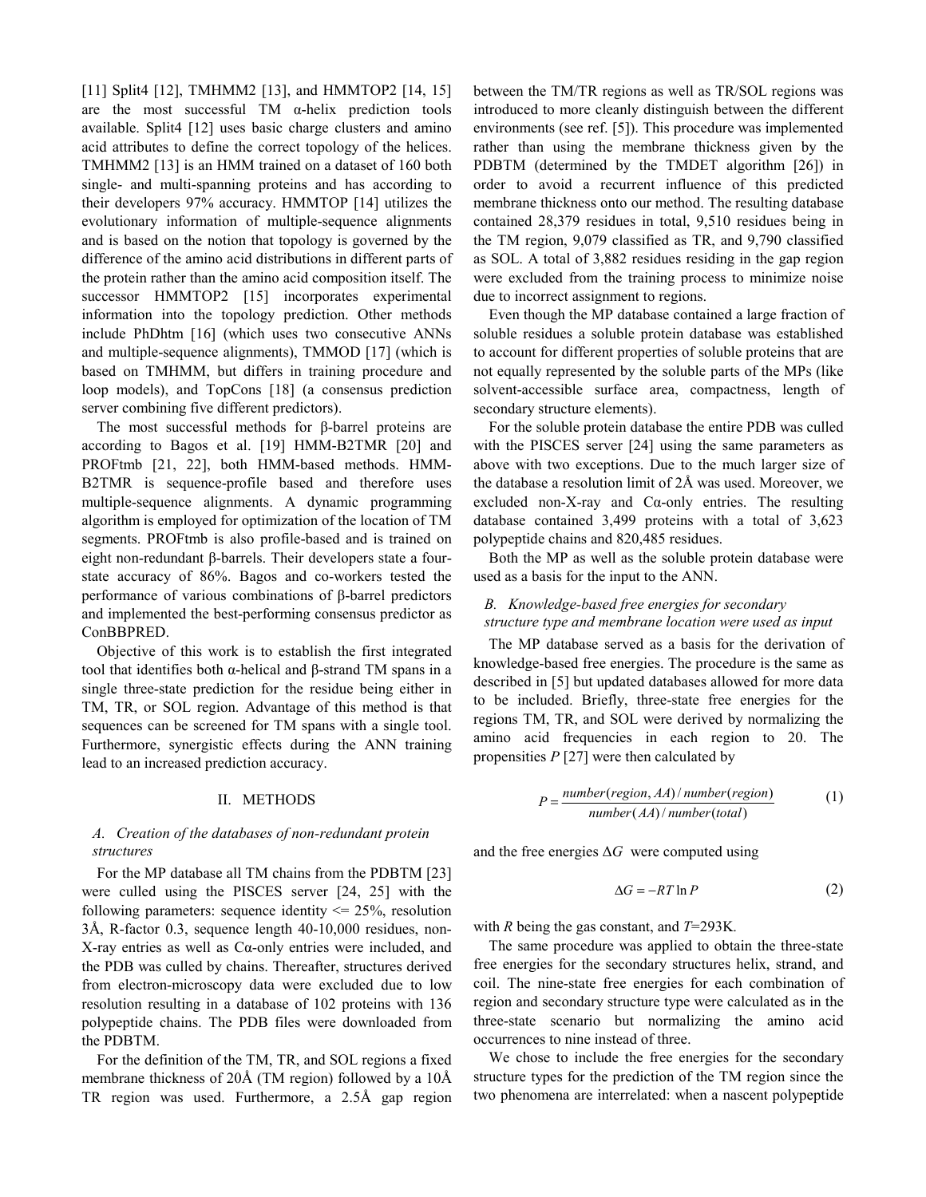[11] Split4 [12], TMHMM2 [13], and HMMTOP2 [14, 15] are the most successful TM  $\alpha$ -helix prediction tools available. Split4 [12] uses basic charge clusters and amino acid attributes to define the correct topology of the helices. TMHMM2 [13] is an HMM trained on a dataset of 160 both single- and multi-spanning proteins and has according to their developers 97% accuracy. HMMTOP [14] utilizes the evolutionary information of multiple-sequence alignments and is based on the notion that topology is governed by the difference of the amino acid distributions in different parts of the protein rather than the amino acid composition itself. The successor HMMTOP2 [15] incorporates experimental information into the topology prediction. Other methods include PhDhtm [16] (which uses two consecutive ANNs and multiple-sequence alignments), TMMOD [17] (which is based on TMHMM, but differs in training procedure and loop models), and TopCons [18] (a consensus prediction server combining five different predictors).

The most successful methods for β-barrel proteins are according to Bagos et al. [19] HMM-B2TMR [20] and PROFtmb [21, 22], both HMM-based methods. HMM-B2TMR is sequence-profile based and therefore uses multiple-sequence alignments. A dynamic programming algorithm is employed for optimization of the location of TM segments. PROFtmb is also profile-based and is trained on eight non-redundant β-barrels. Their developers state a fourstate accuracy of 86%. Bagos and co-workers tested the performance of various combinations of β-barrel predictors and implemented the best-performing consensus predictor as ConBBPRED.

Objective of this work is to establish the first integrated tool that identifies both α-helical and β-strand TM spans in a single three-state prediction for the residue being either in TM, TR, or SOL region. Advantage of this method is that sequences can be screened for TM spans with a single tool. Furthermore, synergistic effects during the ANN training lead to an increased prediction accuracy.

#### II. METHODS

## *A. Creation of the databases of non-redundant protein structures*

For the MP database all TM chains from the PDBTM [23] were culled using the PISCES server [24, 25] with the following parameters: sequence identity  $\leq$  25%, resolution 3Å, R-factor 0.3, sequence length 40-10,000 residues, non-X-ray entries as well as Cα-only entries were included, and the PDB was culled by chains. Thereafter, structures derived from electron-microscopy data were excluded due to low resolution resulting in a database of 102 proteins with 136 polypeptide chains. The PDB files were downloaded from the PDBTM.

For the definition of the TM, TR, and SOL regions a fixed membrane thickness of 20Å (TM region) followed by a 10Å TR region was used. Furthermore, a 2.5Å gap region between the TM/TR regions as well as TR/SOL regions was introduced to more cleanly distinguish between the different environments (see ref. [5]). This procedure was implemented rather than using the membrane thickness given by the PDBTM (determined by the TMDET algorithm [26]) in order to avoid a recurrent influence of this predicted membrane thickness onto our method. The resulting database contained 28,379 residues in total, 9,510 residues being in the TM region, 9,079 classified as TR, and 9,790 classified as SOL. A total of 3,882 residues residing in the gap region were excluded from the training process to minimize noise due to incorrect assignment to regions.

Even though the MP database contained a large fraction of soluble residues a soluble protein database was established to account for different properties of soluble proteins that are not equally represented by the soluble parts of the MPs (like solvent-accessible surface area, compactness, length of secondary structure elements).

For the soluble protein database the entire PDB was culled with the PISCES server [24] using the same parameters as above with two exceptions. Due to the much larger size of the database a resolution limit of 2Å was used. Moreover, we excluded non-X-ray and Cα-only entries. The resulting database contained 3,499 proteins with a total of 3,623 polypeptide chains and 820,485 residues.

Both the MP as well as the soluble protein database were used as a basis for the input to the ANN.

## *B. Knowledge-based free energies for secondary structure type and membrane location were used as input*

The MP database served as a basis for the derivation of knowledge-based free energies. The procedure is the same as described in [5] but updated databases allowed for more data to be included. Briefly, three-state free energies for the regions TM, TR, and SOL were derived by normalizing the amino acid frequencies in each region to 20. The propensities *P* [27] were then calculated by

$$
P = \frac{number(region, AA)/number(region)}{number(AA)/number(total)}
$$
 (1)

and the free energies  $\Delta G$  were computed using

$$
\Delta G = -RT \ln P \tag{2}
$$

with *R* being the gas constant, and *T*=293K*.* 

The same procedure was applied to obtain the three-state free energies for the secondary structures helix, strand, and coil. The nine-state free energies for each combination of region and secondary structure type were calculated as in the three-state scenario but normalizing the amino acid occurrences to nine instead of three.

We chose to include the free energies for the secondary structure types for the prediction of the TM region since the two phenomena are interrelated: when a nascent polypeptide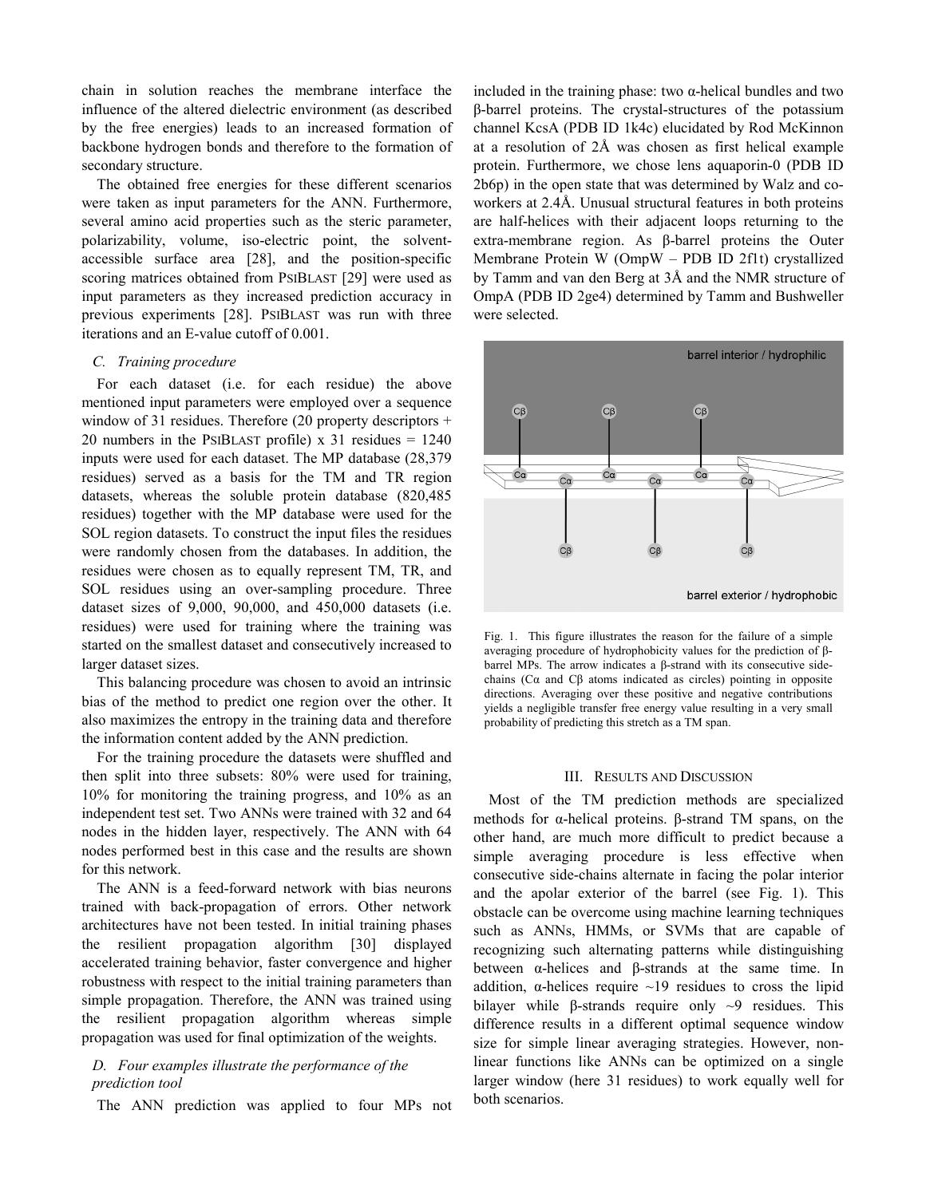chain in solution reaches the membrane interface the influence of the altered dielectric environment (as described by the free energies) leads to an increased formation of backbone hydrogen bonds and therefore to the formation of secondary structure.

The obtained free energies for these different scenarios were taken as input parameters for the ANN. Furthermore, several amino acid properties such as the steric parameter, polarizability, volume, iso-electric point, the solventaccessible surface area [28], and the position-specific scoring matrices obtained from PSIBLAST [29] were used as input parameters as they increased prediction accuracy in previous experiments [28]. PSIBLAST was run with three iterations and an E-value cutoff of 0.001.

### *C. Training procedure*

For each dataset (i.e. for each residue) the above mentioned input parameters were employed over a sequence window of 31 residues. Therefore (20 property descriptors + 20 numbers in the PSIBLAST profile)  $x$  31 residues = 1240 inputs were used for each dataset. The MP database (28,379 residues) served as a basis for the TM and TR region datasets, whereas the soluble protein database (820,485 residues) together with the MP database were used for the SOL region datasets. To construct the input files the residues were randomly chosen from the databases. In addition, the residues were chosen as to equally represent TM, TR, and SOL residues using an over-sampling procedure. Three dataset sizes of 9,000, 90,000, and 450,000 datasets (i.e. residues) were used for training where the training was started on the smallest dataset and consecutively increased to larger dataset sizes.

This balancing procedure was chosen to avoid an intrinsic bias of the method to predict one region over the other. It also maximizes the entropy in the training data and therefore the information content added by the ANN prediction.

For the training procedure the datasets were shuffled and then split into three subsets: 80% were used for training, 10% for monitoring the training progress, and 10% as an independent test set. Two ANNs were trained with 32 and 64 nodes in the hidden layer, respectively. The ANN with 64 nodes performed best in this case and the results are shown for this network.

The ANN is a feed-forward network with bias neurons trained with back-propagation of errors. Other network architectures have not been tested. In initial training phases the resilient propagation algorithm [30] displayed accelerated training behavior, faster convergence and higher robustness with respect to the initial training parameters than simple propagation. Therefore, the ANN was trained using the resilient propagation algorithm whereas simple propagation was used for final optimization of the weights.

## *D. Four examples illustrate the performance of the prediction tool*

The ANN prediction was applied to four MPs not

included in the training phase: two  $\alpha$ -helical bundles and two β-barrel proteins. The crystal-structures of the potassium channel KcsA (PDB ID 1k4c) elucidated by Rod McKinnon at a resolution of 2Å was chosen as first helical example protein. Furthermore, we chose lens aquaporin-0 (PDB ID 2b6p) in the open state that was determined by Walz and coworkers at 2.4Å. Unusual structural features in both proteins are half-helices with their adjacent loops returning to the extra-membrane region. As β-barrel proteins the Outer Membrane Protein W (OmpW – PDB ID 2f1t) crystallized by Tamm and van den Berg at 3Å and the NMR structure of OmpA (PDB ID 2ge4) determined by Tamm and Bushweller were selected.



Fig. 1. This figure illustrates the reason for the failure of a simple averaging procedure of hydrophobicity values for the prediction of βbarrel MPs. The arrow indicates a β-strand with its consecutive sidechains (Cα and Cβ atoms indicated as circles) pointing in opposite directions. Averaging over these positive and negative contributions yields a negligible transfer free energy value resulting in a very small probability of predicting this stretch as a TM span.

#### III. RESULTS AND DISCUSSION

Most of the TM prediction methods are specialized methods for α-helical proteins. β-strand TM spans, on the other hand, are much more difficult to predict because a simple averaging procedure is less effective when consecutive side-chains alternate in facing the polar interior and the apolar exterior of the barrel (see Fig. 1). This obstacle can be overcome using machine learning techniques such as ANNs, HMMs, or SVMs that are capable of recognizing such alternating patterns while distinguishing between α-helices and β-strands at the same time. In addition,  $\alpha$ -helices require  $\sim$ 19 residues to cross the lipid bilayer while β-strands require only  $\sim$ 9 residues. This difference results in a different optimal sequence window size for simple linear averaging strategies. However, nonlinear functions like ANNs can be optimized on a single larger window (here 31 residues) to work equally well for both scenarios.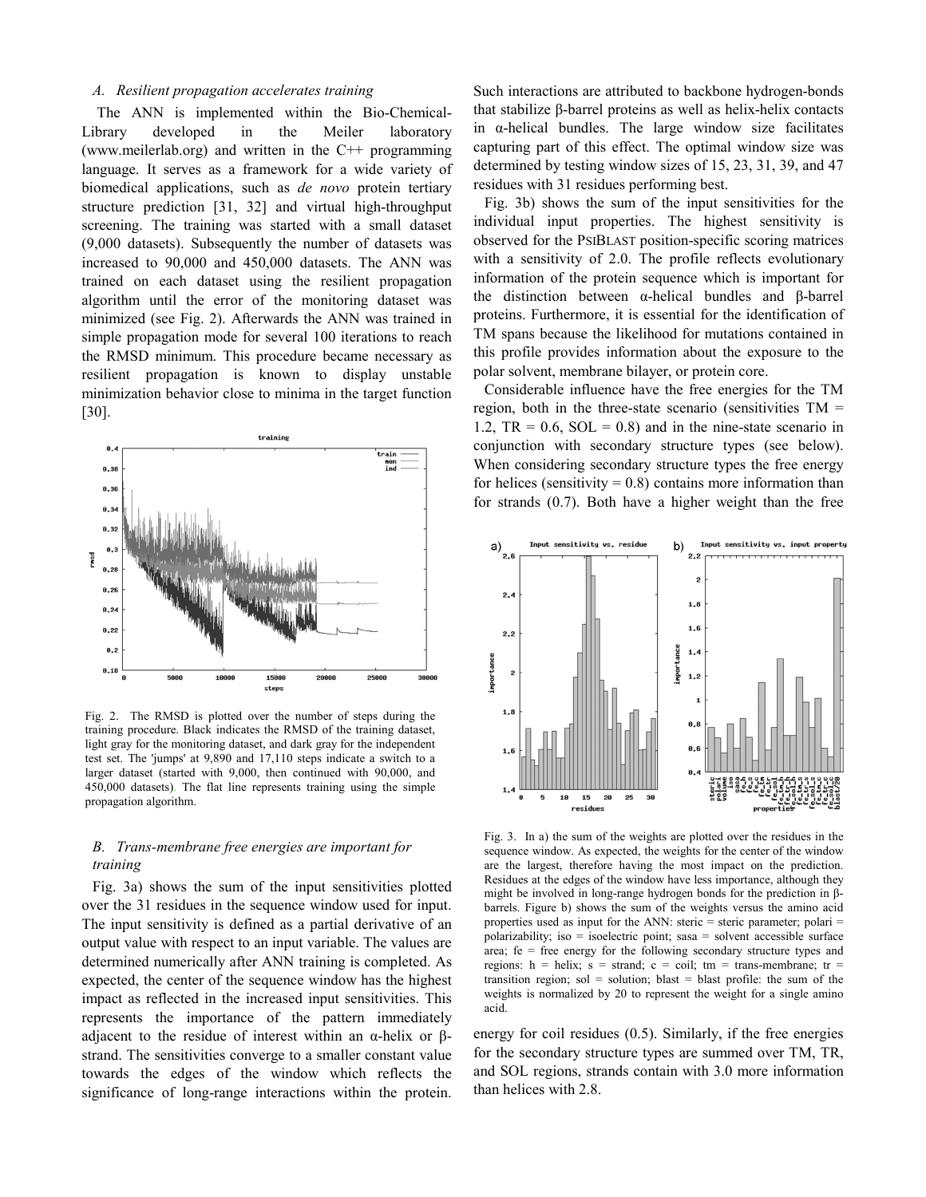#### *A. Resilient propagation accelerates training*

The ANN is implemented within the Bio-Chemical-Library developed in the Meiler laboratory (www.meilerlab.org) and written in the C++ programming language. It serves as a framework for a wide variety of biomedical applications, such as *de novo* protein tertiary structure prediction [31, 32] and virtual high-throughput screening. The training was started with a small dataset (9,000 datasets). Subsequently the number of datasets was increased to 90,000 and 450,000 datasets. The ANN was trained on each dataset using the resilient propagation algorithm until the error of the monitoring dataset was minimized (see Fig. 2). Afterwards the ANN was trained in simple propagation mode for several 100 iterations to reach the RMSD minimum. This procedure became necessary as resilient propagation is known to display unstable minimization behavior close to minima in the target function [30].



Fig. 2. The RMSD is plotted over the number of steps during the training procedure. Black indicates the RMSD of the training dataset, light gray for the monitoring dataset, and dark gray for the independent test set. The 'jumps' at 9,890 and 17,110 steps indicate a switch to a larger dataset (started with 9,000, then continued with 90,000, and 450,000 datasets). The flat line represents training using the simple propagation algorithm.

## *B. Trans-membrane free energies are important for training*

Fig. 3a) shows the sum of the input sensitivities plotted over the 31 residues in the sequence window used for input. The input sensitivity is defined as a partial derivative of an output value with respect to an input variable. The values are determined numerically after ANN training is completed. As expected, the center of the sequence window has the highest impact as reflected in the increased input sensitivities. This represents the importance of the pattern immediately adjacent to the residue of interest within an α-helix or βstrand. The sensitivities converge to a smaller constant value towards the edges of the window which reflects the significance of long-range interactions within the protein.

Such interactions are attributed to backbone hydrogen-bonds that stabilize β-barrel proteins as well as helix-helix contacts in  $\alpha$ -helical bundles. The large window size facilitates capturing part of this effect. The optimal window size was determined by testing window sizes of 15, 23, 31, 39, and 47 residues with 31 residues performing best.

Fig. 3b) shows the sum of the input sensitivities for the individual input properties. The highest sensitivity is observed for the PSIBLAST position-specific scoring matrices with a sensitivity of 2.0. The profile reflects evolutionary information of the protein sequence which is important for the distinction between α-helical bundles and β-barrel proteins. Furthermore, it is essential for the identification of TM spans because the likelihood for mutations contained in this profile provides information about the exposure to the polar solvent, membrane bilayer, or protein core.

Considerable influence have the free energies for the TM region, both in the three-state scenario (sensitivities  $TM =$ 1.2,  $TR = 0.6$ ,  $SOL = 0.8$ ) and in the nine-state scenario in conjunction with secondary structure types (see below). When considering secondary structure types the free energy for helices (sensitivity  $= 0.8$ ) contains more information than for strands (0.7). Both have a higher weight than the free



Fig. 3. In a) the sum of the weights are plotted over the residues in the sequence window. As expected, the weights for the center of the window are the largest, therefore having the most impact on the prediction. Residues at the edges of the window have less importance, although they might be involved in long-range hydrogen bonds for the prediction in βbarrels. Figure b) shows the sum of the weights versus the amino acid properties used as input for the ANN: steric = steric parameter; polari = polarizability; iso = isoelectric point; sasa = solvent accessible surface area;  $fe = free$  energy for the following secondary structure types and regions:  $h = helix$ ;  $s = strand$ ;  $c = coil$ ;  $tm = trans-membrane$ ;  $tr =$ transition region; sol = solution; blast = blast profile: the sum of the weights is normalized by 20 to represent the weight for a single amino acid.

energy for coil residues (0.5). Similarly, if the free energies for the secondary structure types are summed over TM, TR, and SOL regions, strands contain with 3.0 more information than helices with 2.8.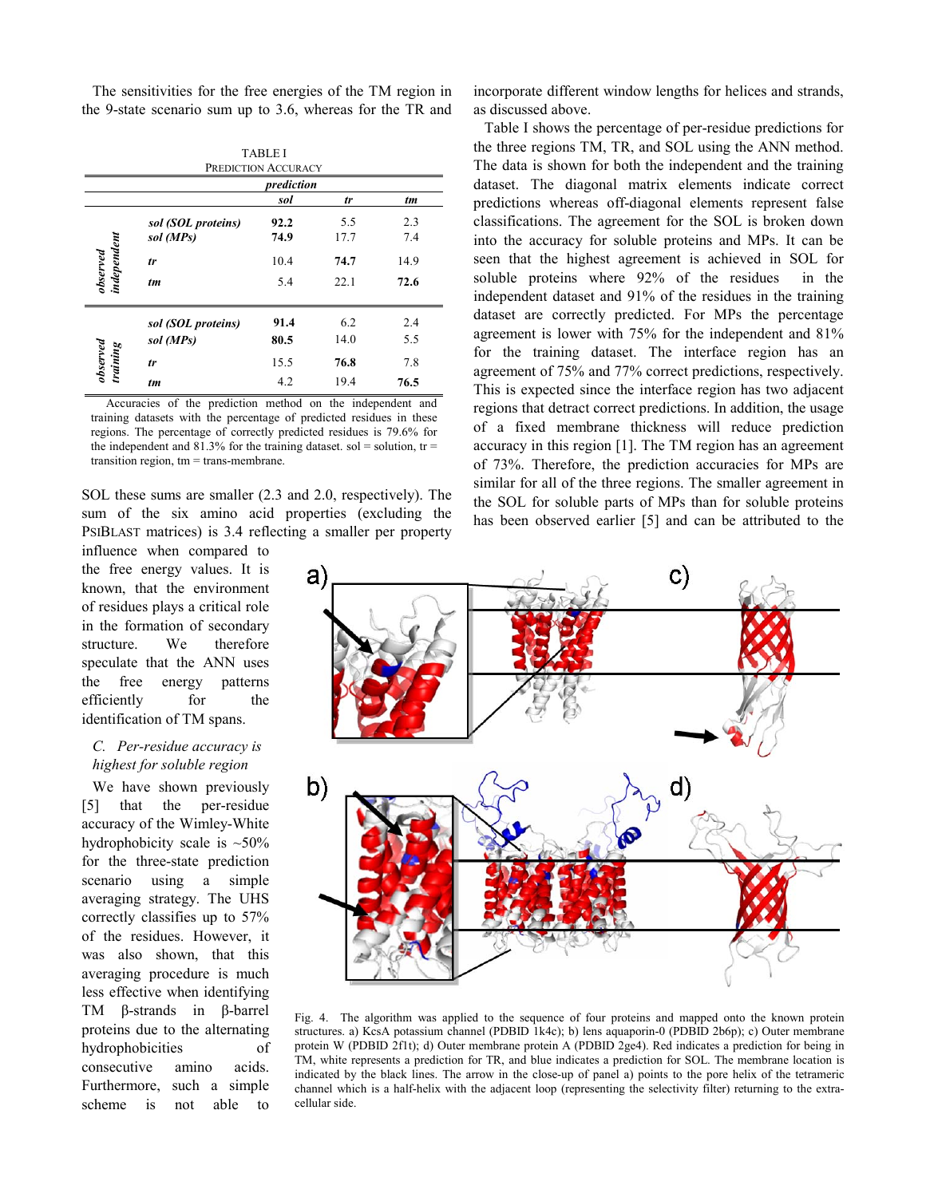The sensitivities for the free energies of the TM region in the 9-state scenario sum up to 3.6, whereas for the TR and

| <b>TABLE I</b><br>PREDICTION ACCURACY |                    |      |      |      |
|---------------------------------------|--------------------|------|------|------|
| prediction                            |                    |      |      |      |
|                                       |                    | sol  | tr   | tm   |
| observed<br>independent               | sol (SOL proteins) | 92.2 | 5.5  | 2.3  |
|                                       | sol (MPs)          | 74.9 | 17.7 | 7.4  |
|                                       | tr                 | 10.4 | 74.7 | 14.9 |
|                                       | tm                 | 5.4  | 22.1 | 72.6 |
| $\emph{observed}$<br>training         | sol (SOL proteins) | 91.4 | 6.2  | 2.4  |
|                                       | sol (MPs)          | 80.5 | 14.0 | 5.5  |
|                                       | tr                 | 15.5 | 76.8 | 7.8  |
|                                       | tm                 | 4.2  | 19.4 | 76.5 |

Accuracies of the prediction method on the independent and training datasets with the percentage of predicted residues in these regions. The percentage of correctly predicted residues is 79.6% for the independent and 81.3% for the training dataset. sol = solution,  $tr =$ transition region, tm = trans-membrane.

SOL these sums are smaller (2.3 and 2.0, respectively). The sum of the six amino acid properties (excluding the PSIBLAST matrices) is 3.4 reflecting a smaller per property

influence when compared to the free energy values. It is known, that the environment of residues plays a critical role in the formation of secondary structure. We therefore speculate that the ANN uses the free energy patterns efficiently for the identification of TM spans.

## *C. Per-residue accuracy is highest for soluble region*

We have shown previously [5] that the per-residue accuracy of the Wimley-White hydrophobicity scale is  $~50\%$ for the three-state prediction scenario using a simple averaging strategy. The UHS correctly classifies up to 57% of the residues. However, it was also shown, that this averaging procedure is much less effective when identifying TM β-strands in β-barrel proteins due to the alternating hydrophobicities of consecutive amino acids. Furthermore, such a simple scheme is not able to

incorporate different window lengths for helices and strands, as discussed above.

Table I shows the percentage of per-residue predictions for the three regions TM, TR, and SOL using the ANN method. The data is shown for both the independent and the training dataset. The diagonal matrix elements indicate correct predictions whereas off-diagonal elements represent false classifications. The agreement for the SOL is broken down into the accuracy for soluble proteins and MPs. It can be seen that the highest agreement is achieved in SOL for soluble proteins where 92% of the residues in the independent dataset and 91% of the residues in the training dataset are correctly predicted. For MPs the percentage agreement is lower with 75% for the independent and 81% for the training dataset. The interface region has an agreement of 75% and 77% correct predictions, respectively. This is expected since the interface region has two adjacent regions that detract correct predictions. In addition, the usage of a fixed membrane thickness will reduce prediction accuracy in this region [1]. The TM region has an agreement of 73%. Therefore, the prediction accuracies for MPs are similar for all of the three regions. The smaller agreement in the SOL for soluble parts of MPs than for soluble proteins has been observed earlier [5] and can be attributed to the



Fig. 4. The algorithm was applied to the sequence of four proteins and mapped onto the known protein structures. a) KcsA potassium channel (PDBID 1k4c); b) lens aquaporin-0 (PDBID 2b6p); c) Outer membrane protein W (PDBID 2f1t); d) Outer membrane protein A (PDBID 2ge4). Red indicates a prediction for being in TM, white represents a prediction for TR, and blue indicates a prediction for SOL. The membrane location is indicated by the black lines. The arrow in the close-up of panel a) points to the pore helix of the tetrameric channel which is a half-helix with the adjacent loop (representing the selectivity filter) returning to the extracellular side.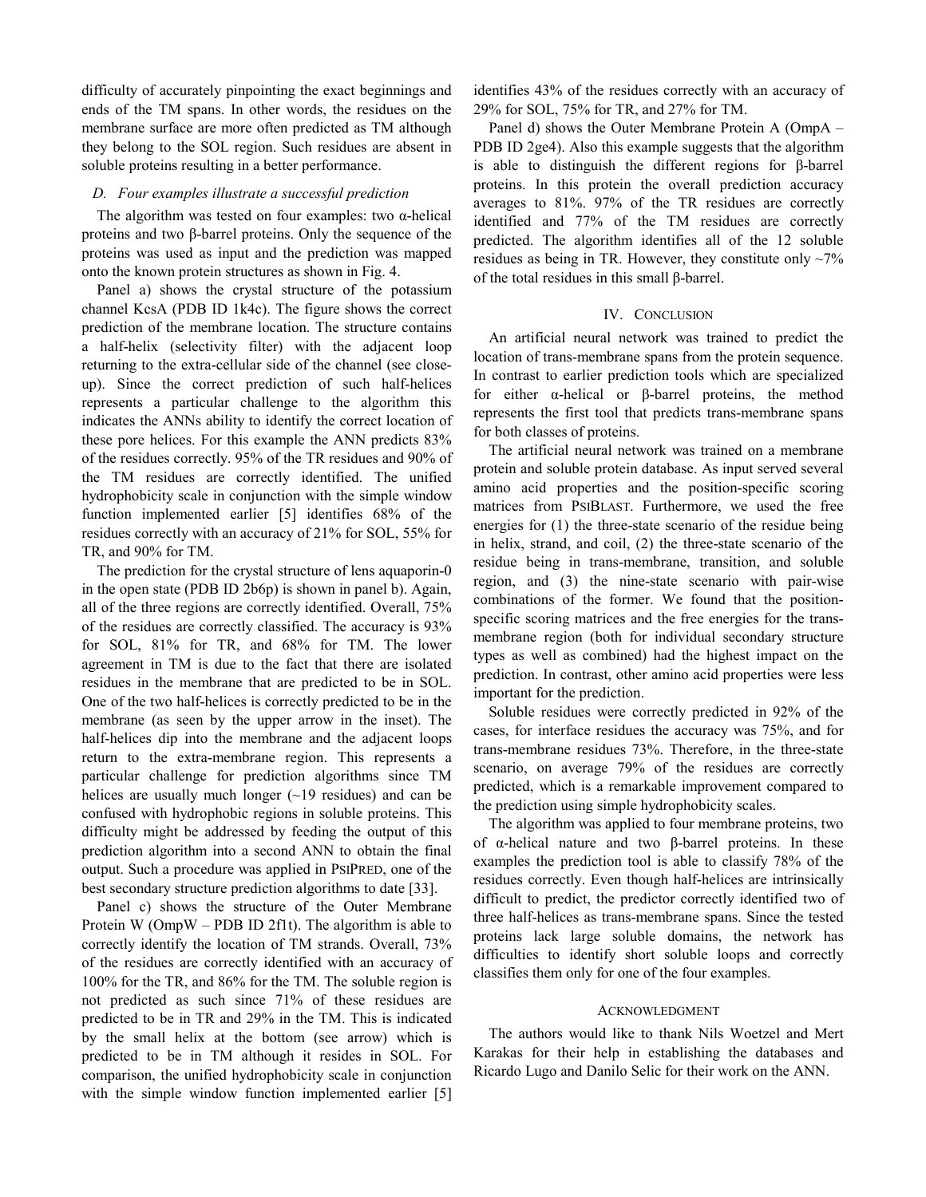difficulty of accurately pinpointing the exact beginnings and ends of the TM spans. In other words, the residues on the membrane surface are more often predicted as TM although they belong to the SOL region. Such residues are absent in soluble proteins resulting in a better performance.

#### *D. Four examples illustrate a successful prediction*

The algorithm was tested on four examples: two  $\alpha$ -helical proteins and two β-barrel proteins. Only the sequence of the proteins was used as input and the prediction was mapped onto the known protein structures as shown in Fig. 4.

Panel a) shows the crystal structure of the potassium channel KcsA (PDB ID 1k4c). The figure shows the correct prediction of the membrane location. The structure contains a half-helix (selectivity filter) with the adjacent loop returning to the extra-cellular side of the channel (see closeup). Since the correct prediction of such half-helices represents a particular challenge to the algorithm this indicates the ANNs ability to identify the correct location of these pore helices. For this example the ANN predicts 83% of the residues correctly. 95% of the TR residues and 90% of the TM residues are correctly identified. The unified hydrophobicity scale in conjunction with the simple window function implemented earlier [5] identifies 68% of the residues correctly with an accuracy of 21% for SOL, 55% for TR, and 90% for TM.

The prediction for the crystal structure of lens aquaporin-0 in the open state (PDB ID 2b6p) is shown in panel b). Again, all of the three regions are correctly identified. Overall, 75% of the residues are correctly classified. The accuracy is 93% for SOL, 81% for TR, and 68% for TM. The lower agreement in TM is due to the fact that there are isolated residues in the membrane that are predicted to be in SOL. One of the two half-helices is correctly predicted to be in the membrane (as seen by the upper arrow in the inset). The half-helices dip into the membrane and the adjacent loops return to the extra-membrane region. This represents a particular challenge for prediction algorithms since TM helices are usually much longer  $(-19 \text{ residues})$  and can be confused with hydrophobic regions in soluble proteins. This difficulty might be addressed by feeding the output of this prediction algorithm into a second ANN to obtain the final output. Such a procedure was applied in PSIPRED, one of the best secondary structure prediction algorithms to date [33].

Panel c) shows the structure of the Outer Membrane Protein W (OmpW – PDB ID 2f1t). The algorithm is able to correctly identify the location of TM strands. Overall, 73% of the residues are correctly identified with an accuracy of 100% for the TR, and 86% for the TM. The soluble region is not predicted as such since 71% of these residues are predicted to be in TR and 29% in the TM. This is indicated by the small helix at the bottom (see arrow) which is predicted to be in TM although it resides in SOL. For comparison, the unified hydrophobicity scale in conjunction with the simple window function implemented earlier [5] identifies 43% of the residues correctly with an accuracy of 29% for SOL, 75% for TR, and 27% for TM.

Panel d) shows the Outer Membrane Protein A (OmpA – PDB ID 2ge4). Also this example suggests that the algorithm is able to distinguish the different regions for β-barrel proteins. In this protein the overall prediction accuracy averages to 81%. 97% of the TR residues are correctly identified and 77% of the TM residues are correctly predicted. The algorithm identifies all of the 12 soluble residues as being in TR. However, they constitute only  $\sim$ 7% of the total residues in this small β-barrel.

#### IV. CONCLUSION

An artificial neural network was trained to predict the location of trans-membrane spans from the protein sequence. In contrast to earlier prediction tools which are specialized for either α-helical or β-barrel proteins, the method represents the first tool that predicts trans-membrane spans for both classes of proteins.

The artificial neural network was trained on a membrane protein and soluble protein database. As input served several amino acid properties and the position-specific scoring matrices from PSIBLAST. Furthermore, we used the free energies for (1) the three-state scenario of the residue being in helix, strand, and coil, (2) the three-state scenario of the residue being in trans-membrane, transition, and soluble region, and (3) the nine-state scenario with pair-wise combinations of the former. We found that the positionspecific scoring matrices and the free energies for the transmembrane region (both for individual secondary structure types as well as combined) had the highest impact on the prediction. In contrast, other amino acid properties were less important for the prediction.

Soluble residues were correctly predicted in 92% of the cases, for interface residues the accuracy was 75%, and for trans-membrane residues 73%. Therefore, in the three-state scenario, on average 79% of the residues are correctly predicted, which is a remarkable improvement compared to the prediction using simple hydrophobicity scales.

The algorithm was applied to four membrane proteins, two of α-helical nature and two β-barrel proteins. In these examples the prediction tool is able to classify 78% of the residues correctly. Even though half-helices are intrinsically difficult to predict, the predictor correctly identified two of three half-helices as trans-membrane spans. Since the tested proteins lack large soluble domains, the network has difficulties to identify short soluble loops and correctly classifies them only for one of the four examples.

#### ACKNOWLEDGMENT

The authors would like to thank Nils Woetzel and Mert Karakas for their help in establishing the databases and Ricardo Lugo and Danilo Selic for their work on the ANN.